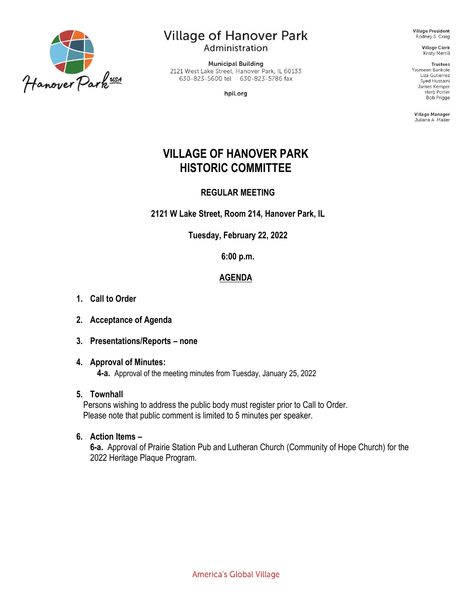

# **Village of Hanover Park**

Administration

**Municipal Building** 2121 West Lake Street, Hanover Park, IL 60133 630-823-5600 tel 630-823-5786 fax

hpil.org

**Village President** Rodney S. Craig

> **Village Clerk Kristy Merrill**

**Trustees** Yasmeen Bankole Liza Gutierrez Syed Hussaini James Kemper Herb Porter **Bob Prigge** 

Village Manager Juliana A. Maller

# **VILLAGE OF HANOVER PARK HISTORIC COMMITTEE**

## **REGULAR MEETING**

**2121 W Lake Street, Room 214, Hanover Park, IL**

**Tuesday, February 22, 2022**

**6:00 p.m.**

# **AGENDA**

- **1. Call to Order**
- **2. Acceptance of Agenda**
- **3. Presentations/Reports – none**

#### **4. Approval of Minutes:**

**4-a.** Approval of the meeting minutes from Tuesday, January 25, 2022

### **5. Townhall**

Persons wishing to address the public body must register prior to Call to Order. Please note that public comment is limited to 5 minutes per speaker.

### **6. Action Items –**

**6-a.** Approval of Prairie Station Pub and Lutheran Church (Community of Hope Church) for the 2022 Heritage Plaque Program.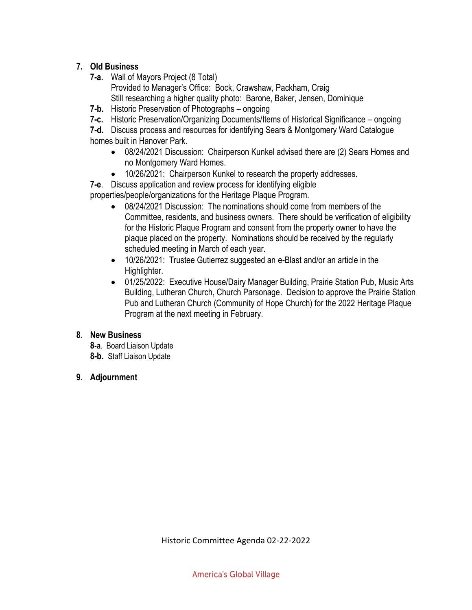# **7. Old Business**

- **7-a.** Wall of Mayors Project (8 Total)
	- Provided to Manager's Office: Bock, Crawshaw, Packham, Craig

Still researching a higher quality photo: Barone, Baker, Jensen, Dominique

- **7-b.** Historic Preservation of Photographs ongoing
- **7-c.** Historic Preservation/Organizing Documents/Items of Historical Significance ongoing

**7-d.** Discuss process and resources for identifying Sears & Montgomery Ward Catalogue homes built in Hanover Park.

- 08/24/2021 Discussion: Chairperson Kunkel advised there are (2) Sears Homes and no Montgomery Ward Homes.
- 10/26/2021: Chairperson Kunkel to research the property addresses.

**7-e**. Discuss application and review process for identifying eligible

properties/people/organizations for the Heritage Plaque Program.

- 08/24/2021 Discussion: The nominations should come from members of the Committee, residents, and business owners. There should be verification of eligibility for the Historic Plaque Program and consent from the property owner to have the plaque placed on the property. Nominations should be received by the regularly scheduled meeting in March of each year.
- 10/26/2021: Trustee Gutierrez suggested an e-Blast and/or an article in the Highlighter.
- 01/25/2022: Executive House/Dairy Manager Building, Prairie Station Pub, Music Arts Building, Lutheran Church, Church Parsonage. Decision to approve the Prairie Station Pub and Lutheran Church (Community of Hope Church) for the 2022 Heritage Plaque Program at the next meeting in February.

# **8. New Business**

- **8-a**. Board Liaison Update **8-b.** Staff Liaison Update
- **9. Adjournment**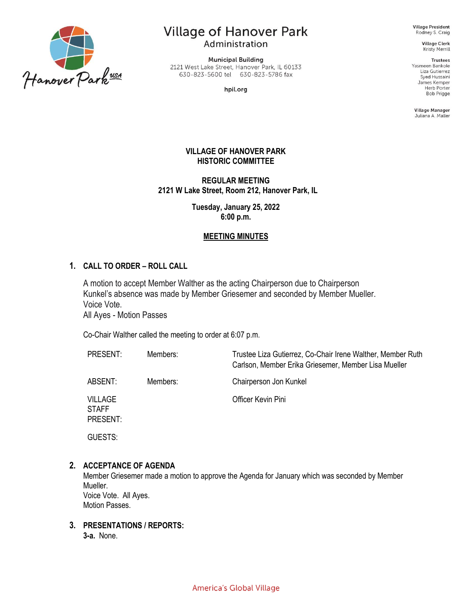

# **Village of Hanover Park**

Administration

**Municipal Building** 2121 West Lake Street, Hanover Park, IL 60133 630-823-5600 tel 630-823-5786 fax

hpil.org

**Village President** Rodney S. Craig

> **Village Clerk** Kristy Merrill

> > **Trustees**

Yasmeen Bankole Liza Gutierrez Syed Hussaini James Kemper Herb Porter **Bob Prigge** 

Village Manager Juliana A. Maller

#### **VILLAGE OF HANOVER PARK HISTORIC COMMITTEE**

**REGULAR MEETING 2121 W Lake Street, Room 212, Hanover Park, IL**

> **Tuesday, January 25, 2022 6:00 p.m.**

#### **MEETING MINUTES**

#### **1. CALL TO ORDER – ROLL CALL**

A motion to accept Member Walther as the acting Chairperson due to Chairperson Kunkel's absence was made by Member Griesemer and seconded by Member Mueller. Voice Vote. All Ayes - Motion Passes

Co-Chair Walther called the meeting to order at 6:07 p.m.

| <b>PRESENT:</b>                            | Members: | Trustee Liza Gutierrez, Co-Chair Irene Walther, Member Ruth<br>Carlson, Member Erika Griesemer, Member Lisa Mueller |
|--------------------------------------------|----------|---------------------------------------------------------------------------------------------------------------------|
| ABSENT:                                    | Members: | Chairperson Jon Kunkel                                                                                              |
| <b>VILLAGE</b><br><b>STAFF</b><br>PRESENT: |          | Officer Kevin Pini                                                                                                  |
| GUESTS:                                    |          |                                                                                                                     |

#### **2. ACCEPTANCE OF AGENDA**

Member Griesemer made a motion to approve the Agenda for January which was seconded by Member Mueller. Voice Vote. All Ayes. Motion Passes.

# **3. PRESENTATIONS / REPORTS:**

**3-a.** None.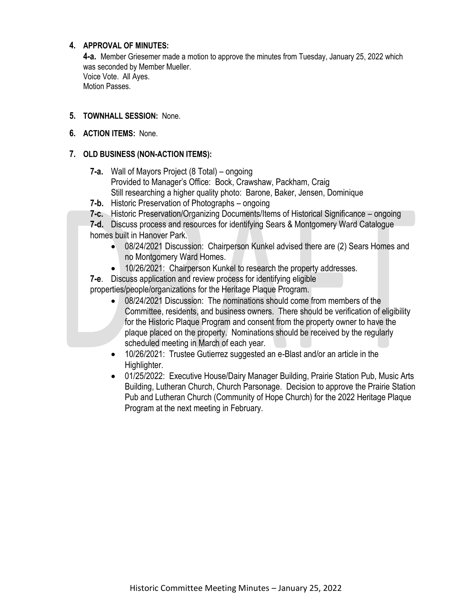#### **4. APPROVAL OF MINUTES:**

**4-a.** Member Griesemer made a motion to approve the minutes from Tuesday, January 25, 2022 which was seconded by Member Mueller. Voice Vote. All Ayes. Motion Passes.

#### **5. TOWNHALL SESSION:** None.

**6. ACTION ITEMS:** None.

#### **7. OLD BUSINESS (NON-ACTION ITEMS):**

- **7-a.** Wall of Mayors Project (8 Total) ongoing Provided to Manager's Office: Bock, Crawshaw, Packham, Craig Still researching a higher quality photo: Barone, Baker, Jensen, Dominique
- **7-b.** Historic Preservation of Photographs ongoing
- **7-c.** Historic Preservation/Organizing Documents/Items of Historical Significance ongoing
- **7-d.** Discuss process and resources for identifying Sears & Montgomery Ward Catalogue homes built in Hanover Park.
	- 08/24/2021 Discussion: Chairperson Kunkel advised there are (2) Sears Homes and no Montgomery Ward Homes.
	- 10/26/2021: Chairperson Kunkel to research the property addresses.

**7-e**. Discuss application and review process for identifying eligible

properties/people/organizations for the Heritage Plaque Program.

- 08/24/2021 Discussion: The nominations should come from members of the Committee, residents, and business owners. There should be verification of eligibility for the Historic Plaque Program and consent from the property owner to have the plaque placed on the property. Nominations should be received by the regularly scheduled meeting in March of each year.
- 10/26/2021: Trustee Gutierrez suggested an e-Blast and/or an article in the Highlighter.
- 01/25/2022: Executive House/Dairy Manager Building, Prairie Station Pub, Music Arts Building, Lutheran Church, Church Parsonage. Decision to approve the Prairie Station Pub and Lutheran Church (Community of Hope Church) for the 2022 Heritage Plaque Program at the next meeting in February.